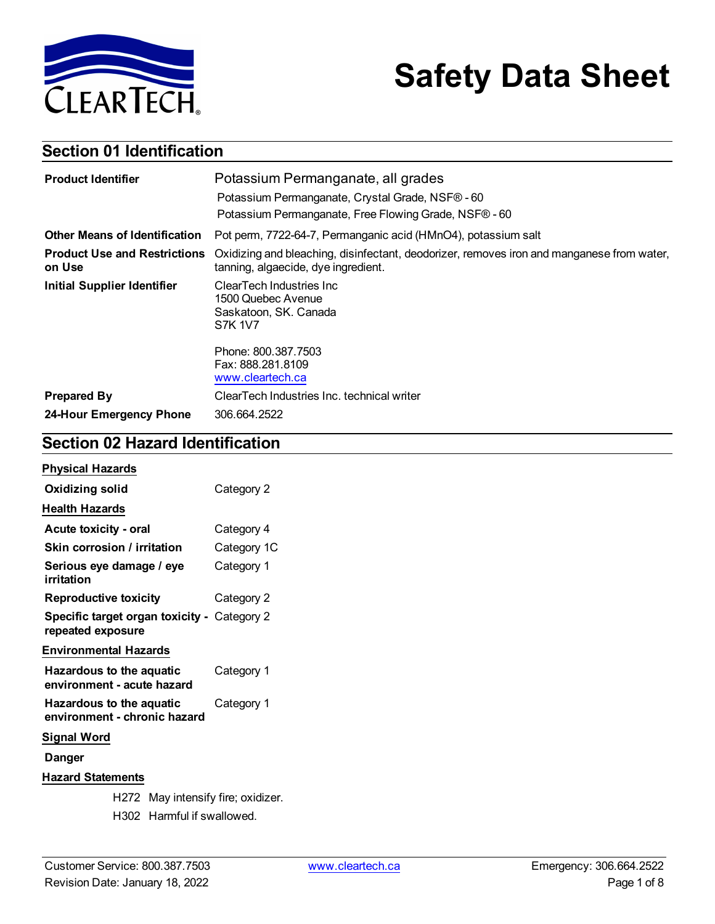

# **Safety Data Sheet**

## **Section 01 Identification**

| <b>Product Identifier</b>                     | Potassium Permanganate, all grades                                                                                               |  |
|-----------------------------------------------|----------------------------------------------------------------------------------------------------------------------------------|--|
|                                               | Potassium Permanganate, Crystal Grade, NSF® - 60                                                                                 |  |
|                                               | Potassium Permanganate, Free Flowing Grade, NSF® - 60                                                                            |  |
| <b>Other Means of Identification</b>          | Pot perm, 7722-64-7, Permanganic acid (HMnO4), potassium salt                                                                    |  |
| <b>Product Use and Restrictions</b><br>on Use | Oxidizing and bleaching, disinfectant, deodorizer, removes iron and manganese from water,<br>tanning, algaecide, dye ingredient. |  |
| <b>Initial Supplier Identifier</b>            | ClearTech Industries Inc<br>1500 Quebec Avenue<br>Saskatoon, SK. Canada<br><b>S7K 1V7</b>                                        |  |
|                                               | Phone: 800.387.7503<br>Fax: 888.281.8109<br>www.cleartech.ca                                                                     |  |
| <b>Prepared By</b>                            | ClearTech Industries Inc. technical writer                                                                                       |  |
| 24-Hour Emergency Phone                       | 306.664.2522                                                                                                                     |  |

### **Section 02 Hazard Identification**

| <b>Physical Hazards</b>                                                |             |  |  |
|------------------------------------------------------------------------|-------------|--|--|
| Oxidizing solid                                                        | Category 2  |  |  |
| <b>Health Hazards</b>                                                  |             |  |  |
| Acute toxicity - oral                                                  | Category 4  |  |  |
| Skin corrosion / irritation                                            | Category 1C |  |  |
| Serious eye damage / eye<br>irritation                                 | Category 1  |  |  |
| <b>Reproductive toxicity</b>                                           | Category 2  |  |  |
| Specific target organ toxicity - Category 2<br>repeated exposure       |             |  |  |
| <b>Environmental Hazards</b>                                           |             |  |  |
| Hazardous to the aquatic<br>Category 1<br>environment - acute hazard   |             |  |  |
| Hazardous to the aquatic<br>Category 1<br>environment - chronic hazard |             |  |  |
| <b>Signal Word</b>                                                     |             |  |  |
| Danger                                                                 |             |  |  |
| <b>Hazard Statements</b>                                               |             |  |  |
| H272 May intensify fire; oxidizer.                                     |             |  |  |
| H302 Harmful if swallowed.                                             |             |  |  |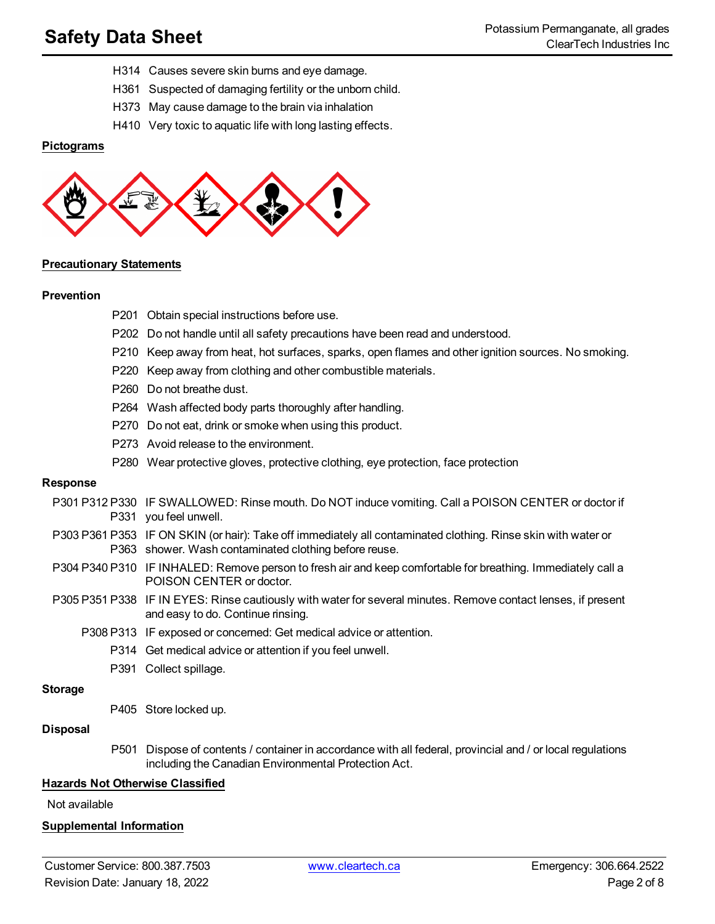- H314 Causes severe skin burns and eye damage.
- H361 Suspected of damaging fertility or the unborn child.
- H373 May cause damage to the brain via inhalation
- H410 Very toxic to aquatic life with long lasting effects.

#### **Pictograms**



P201 Obtain special instructions before use.

#### **Precautionary Statements**

#### **Prevention**

| P202 Do not handle until all safety precautions have been read and understood.                      |
|-----------------------------------------------------------------------------------------------------|
| P210 Keep away from heat, hot surfaces, sparks, open flames and other ignition sources. No smoking. |
| P220 Keep away from clothing and other combustible materials.                                       |
| P <sub>260</sub> Do not breathe dust.                                                               |
| P264 Wash affected body parts thoroughly after handling.                                            |
| P270 Do not eat, drink or smoke when using this product.                                            |
| P273 Avoid release to the environment.                                                              |
| P280 Wear protective gloves, protective clothing, eye protection, face protection                   |
|                                                                                                     |
| 12 P330 IF SWALLOWED: Rinse mouth. Do NOT induce vomiting. Call a POISON CENTER or doctor if        |

#### **Response**

- P301 P3 P331 you feel unwell. IF SWALLOWED: Rinse mouth. Do NOT induce vomiting. Call a POISON CENTER or doctor if
- P303 P361 P353 IF ON SKIN (or hair): Take off immediately all contaminated clothing. Rinse skin with water or P363 shower. Wash contaminated clothing before reuse.
- P304 P340 P310 IF INHALED: Remove person to fresh air and keep comfortable for breathing. Immediately call a POISON CENTER or doctor.
- P305 P351 P338 IF IN EYES: Rinse cautiously with water for several minutes. Remove contact lenses, if present and easy to do. Continue rinsing.
	- P308 P313 IF exposed or concerned: Get medical advice or attention.
		- P314 Get medical advice or attention if you feel unwell.
		- P391 Collect spillage.

#### **Storage**

P405 Store locked up.

#### **Disposal**

P501 Dispose of contents / container in accordance with all federal, provincial and / or local regulations including the Canadian Environmental Protection Act.

#### **Hazards Not Otherwise Classified**

Not available

#### **Supplemental Information**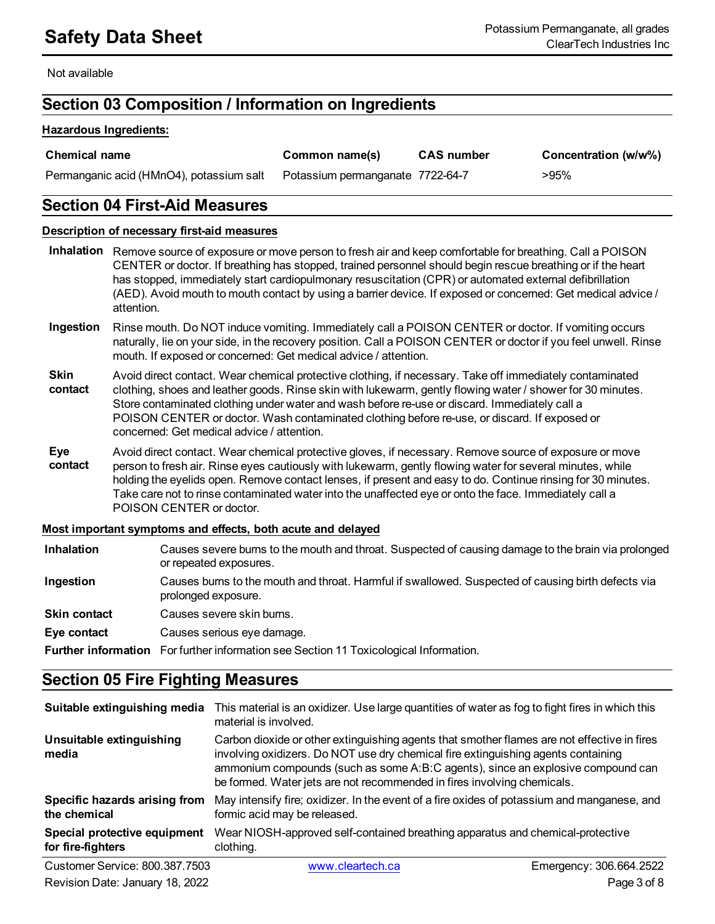Not available

### **Section 03 Composition / Information on Ingredients**

#### **Hazardous Ingredients:**

| <b>Chemical name</b>                     | Common name(s)                   | <b>CAS number</b> | Concentration (w/w%) |
|------------------------------------------|----------------------------------|-------------------|----------------------|
| Permanganic acid (HMnO4), potassium salt | Potassium permanganate 7722-64-7 |                   | >95%                 |

### **Section 04 First-Aid Measures**

#### **Description of necessary first-aid measures**

- **Inhalation** Remove source of exposure or move person to fresh air and keep comfortable for breathing. Call a POISON CENTER or doctor. If breathing has stopped, trained personnel should begin rescue breathing or if the heart has stopped, immediately start cardiopulmonary resuscitation (CPR) or automated external defibrillation (AED). Avoid mouth to mouth contact by using a barrier device. If exposed or concerned: Get medical advice / attention.
- **Ingestion** Rinse mouth. Do NOT induce vomiting. Immediately call a POISON CENTER or doctor. If vomiting occurs naturally, lie on your side, in the recovery position. Call a POISON CENTER or doctor if you feel unwell. Rinse mouth. If exposed or concerned: Get medical advice / attention.
- **Skin contact** Avoid direct contact. Wear chemical protective clothing, if necessary. Take off immediately contaminated clothing, shoes and leather goods. Rinse skin with lukewarm, gently flowing water / shower for 30 minutes. Store contaminated clothing under water and wash before re-use or discard. Immediately call a POISON CENTER or doctor. Wash contaminated clothing before re-use, or discard. If exposed or concerned: Get medical advice / attention.
- **Eye contact** Avoid direct contact. Wear chemical protective gloves, if necessary. Remove source of exposure or move person to fresh air. Rinse eyes cautiously with lukewarm, gently flowing water for several minutes, while holding the eyelids open. Remove contact lenses, if present and easy to do. Continue rinsing for 30 minutes. Take care not to rinse contaminated water into the unaffected eye or onto the face. Immediately call a POISON CENTER or doctor.

#### **Most important symptoms and effects, both acute and delayed**

| <b>Inhalation</b>   | Causes severe burns to the mouth and throat. Suspected of causing damage to the brain via prolonged<br>or repeated exposures. |
|---------------------|-------------------------------------------------------------------------------------------------------------------------------|
| Ingestion           | Causes burns to the mouth and throat. Harmful if swallowed. Suspected of causing birth defects via<br>prolonged exposure.     |
| <b>Skin contact</b> | Causes severe skin burns.                                                                                                     |
| Eye contact         | Causes serious eye damage.                                                                                                    |
|                     | <b>Further information</b> For further information see Section 11 Toxicological Information.                                  |

### **Section 05 Fire Fighting Measures**

| Suitable extinguishing media                      | This material is an oxidizer. Use large quantities of water as fog to fight fires in which this<br>material is involved.                                                                                                                                                                                                                       |                         |
|---------------------------------------------------|------------------------------------------------------------------------------------------------------------------------------------------------------------------------------------------------------------------------------------------------------------------------------------------------------------------------------------------------|-------------------------|
| Unsuitable extinguishing<br>media                 | Carbon dioxide or other extinguishing agents that smother flames are not effective in fires<br>involving oxidizers. Do NOT use dry chemical fire extinguishing agents containing<br>ammonium compounds (such as some A:B:C agents), since an explosive compound can<br>be formed. Water jets are not recommended in fires involving chemicals. |                         |
| Specific hazards arising from<br>the chemical     | May intensify fire; oxidizer. In the event of a fire oxides of potassium and manganese, and<br>formic acid may be released.                                                                                                                                                                                                                    |                         |
| Special protective equipment<br>for fire-fighters | Wear NIOSH-approved self-contained breathing apparatus and chemical-protective<br>clothing.                                                                                                                                                                                                                                                    |                         |
| Customer Service: 800.387.7503                    | www.cleartech.ca                                                                                                                                                                                                                                                                                                                               | Emergency: 306.664.2522 |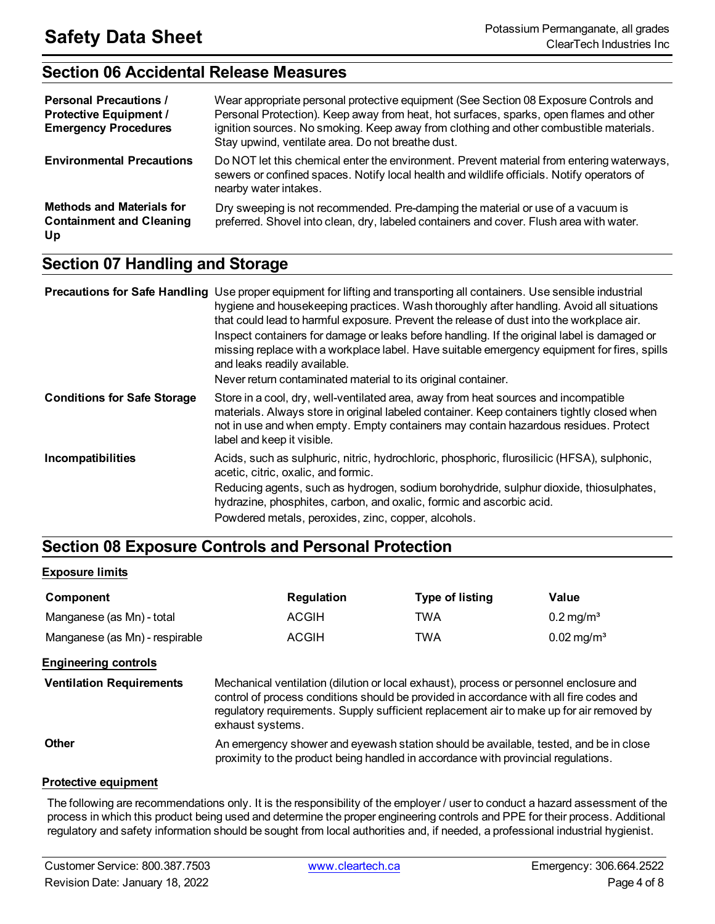### **Section 06 Accidental Release Measures**

| <b>Personal Precautions /</b><br><b>Protective Equipment /</b><br><b>Emergency Procedures</b> | Wear appropriate personal protective equipment (See Section 08 Exposure Controls and<br>Personal Protection). Keep away from heat, hot surfaces, sparks, open flames and other<br>ignition sources. No smoking. Keep away from clothing and other combustible materials.<br>Stay upwind, ventilate area. Do not breathe dust. |
|-----------------------------------------------------------------------------------------------|-------------------------------------------------------------------------------------------------------------------------------------------------------------------------------------------------------------------------------------------------------------------------------------------------------------------------------|
| <b>Environmental Precautions</b>                                                              | Do NOT let this chemical enter the environment. Prevent material from entering waterways,<br>sewers or confined spaces. Notify local health and wildlife officials. Notify operators of<br>nearby water intakes.                                                                                                              |
| <b>Methods and Materials for</b><br><b>Containment and Cleaning</b><br>Up                     | Dry sweeping is not recommended. Pre-damping the material or use of a vacuum is<br>preferred. Shovel into clean, dry, labeled containers and cover. Flush area with water.                                                                                                                                                    |

### **Section 07 Handling and Storage**

|                                    | Precautions for Safe Handling Use proper equipment for lifting and transporting all containers. Use sensible industrial<br>hygiene and housekeeping practices. Wash thoroughly after handling. Avoid all situations<br>that could lead to harmful exposure. Prevent the release of dust into the workplace air.<br>Inspect containers for damage or leaks before handling. If the original label is damaged or<br>missing replace with a workplace label. Have suitable emergency equipment for fires, spills<br>and leaks readily available.<br>Never return contaminated material to its original container. |
|------------------------------------|----------------------------------------------------------------------------------------------------------------------------------------------------------------------------------------------------------------------------------------------------------------------------------------------------------------------------------------------------------------------------------------------------------------------------------------------------------------------------------------------------------------------------------------------------------------------------------------------------------------|
| <b>Conditions for Safe Storage</b> | Store in a cool, dry, well-ventilated area, away from heat sources and incompatible<br>materials. Always store in original labeled container. Keep containers tightly closed when<br>not in use and when empty. Empty containers may contain hazardous residues. Protect<br>label and keep it visible.                                                                                                                                                                                                                                                                                                         |
| Incompatibilities                  | Acids, such as sulphuric, nitric, hydrochloric, phosphoric, flurosilicic (HFSA), sulphonic,<br>acetic, citric, oxalic, and formic.                                                                                                                                                                                                                                                                                                                                                                                                                                                                             |
|                                    | Reducing agents, such as hydrogen, sodium borohydride, sulphur dioxide, thiosulphates,<br>hydrazine, phosphites, carbon, and oxalic, formic and ascorbic acid.                                                                                                                                                                                                                                                                                                                                                                                                                                                 |
|                                    | Powdered metals, peroxides, zinc, copper, alcohols.                                                                                                                                                                                                                                                                                                                                                                                                                                                                                                                                                            |

### **Section 08 Exposure Controls and Personal Protection**

#### **Exposure limits**

| Component                      | Regulation   | <b>Type of listing</b> | Value                    |
|--------------------------------|--------------|------------------------|--------------------------|
| Manganese (as Mn) - total      | ACGIH        | TWA                    | $0.2 \,\mathrm{mg/m^3}$  |
| Manganese (as Mn) - respirable | <b>ACGIH</b> | TWA                    | $0.02 \,\mathrm{mg/m^3}$ |

#### **Engineering controls**

**Ventilation Requirements** Mechanical ventilation (dilution or local exhaust), process or personnel enclosure and control of process conditions should be provided in accordance with all fire codes and regulatory requirements. Supply sufficient replacement air to make up for air removed by exhaust systems.

**Other An emergency shower and eyewash station should be available, tested, and be in close** proximity to the product being handled in accordance with provincial regulations.

#### **Protective equipment**

The following are recommendations only. It is the responsibility of the employer / user to conduct a hazard assessment of the process in which this product being used and determine the proper engineering controls and PPE for their process. Additional regulatory and safety information should be sought from local authorities and, if needed, a professional industrial hygienist.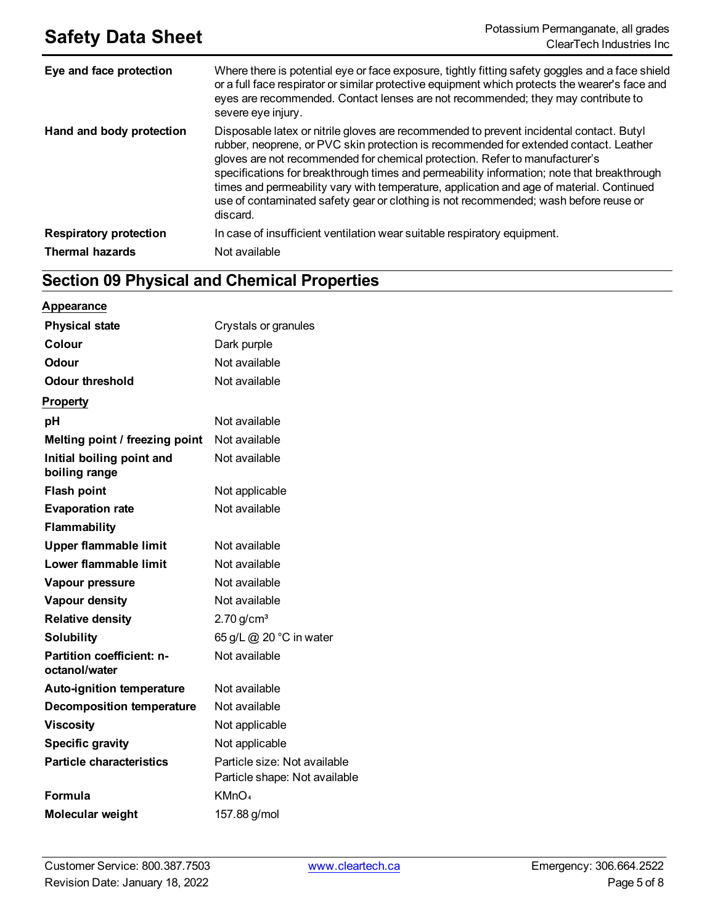| Eye and face protection       | Where there is potential eye or face exposure, tightly fitting safety goggles and a face shield<br>or a full face respirator or similar protective equipment which protects the wearer's face and<br>eyes are recommended. Contact lenses are not recommended; they may contribute to<br>severe eye injury.                                                                                                                                                                                                                                                   |
|-------------------------------|---------------------------------------------------------------------------------------------------------------------------------------------------------------------------------------------------------------------------------------------------------------------------------------------------------------------------------------------------------------------------------------------------------------------------------------------------------------------------------------------------------------------------------------------------------------|
| Hand and body protection      | Disposable latex or nitrile gloves are recommended to prevent incidental contact. Butyl<br>rubber, neoprene, or PVC skin protection is recommended for extended contact. Leather<br>gloves are not recommended for chemical protection. Refer to manufacturer's<br>specifications for breakthrough times and permeability information; note that breakthrough<br>times and permeability vary with temperature, application and age of material. Continued<br>use of contaminated safety gear or clothing is not recommended; wash before reuse or<br>discard. |
| <b>Respiratory protection</b> | In case of insufficient ventilation wear suitable respiratory equipment.                                                                                                                                                                                                                                                                                                                                                                                                                                                                                      |
| <b>Thermal hazards</b>        | Not available                                                                                                                                                                                                                                                                                                                                                                                                                                                                                                                                                 |

## **Section 09 Physical and Chemical Properties**

| Appearance                                 |                                                               |
|--------------------------------------------|---------------------------------------------------------------|
| <b>Physical state</b>                      | Crystals or granules                                          |
| Colour                                     | Dark purple                                                   |
| Odour                                      | Not available                                                 |
| <b>Odour threshold</b>                     | Not available                                                 |
| <b>Property</b>                            |                                                               |
| рH                                         | Not available                                                 |
| Melting point / freezing point             | Not available                                                 |
| Initial boiling point and<br>boiling range | Not available                                                 |
| <b>Flash point</b>                         | Not applicable                                                |
| <b>Evaporation rate</b>                    | Not available                                                 |
| <b>Flammability</b>                        |                                                               |
| <b>Upper flammable limit</b>               | Not available                                                 |
| Lower flammable limit                      | Not available                                                 |
| Vapour pressure                            | Not available                                                 |
| Vapour density                             | Not available                                                 |
| <b>Relative density</b>                    | $2.70$ g/cm <sup>3</sup>                                      |
| Solubility                                 | 65 g/L @ 20 °C in water                                       |
| Partition coefficient: n-<br>octanol/water | Not available                                                 |
| <b>Auto-ignition temperature</b>           | Not available                                                 |
| <b>Decomposition temperature</b>           | Not available                                                 |
| <b>Viscosity</b>                           | Not applicable                                                |
| <b>Specific gravity</b>                    | Not applicable                                                |
| <b>Particle characteristics</b>            | Particle size: Not available<br>Particle shape: Not available |
| Formula                                    | KMnO <sub>4</sub>                                             |
| Molecular weight                           | 157.88 g/mol                                                  |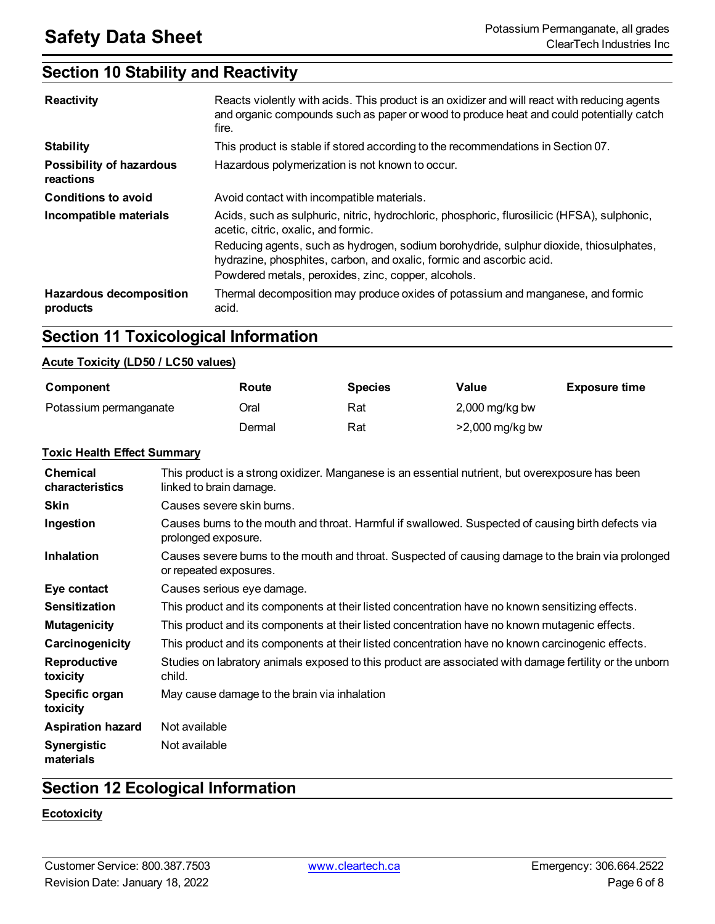### **Section 10 Stability and Reactivity**

| Reactivity                                   | Reacts violently with acids. This product is an oxidizer and will react with reducing agents<br>and organic compounds such as paper or wood to produce heat and could potentially catch<br>fire.                      |
|----------------------------------------------|-----------------------------------------------------------------------------------------------------------------------------------------------------------------------------------------------------------------------|
| <b>Stability</b>                             | This product is stable if stored according to the recommendations in Section 07.                                                                                                                                      |
| <b>Possibility of hazardous</b><br>reactions | Hazardous polymerization is not known to occur.                                                                                                                                                                       |
| <b>Conditions to avoid</b>                   | Avoid contact with incompatible materials.                                                                                                                                                                            |
| Incompatible materials                       | Acids, such as sulphuric, nitric, hydrochloric, phosphoric, flurosilicic (HFSA), sulphonic,<br>acetic, citric, oxalic, and formic.                                                                                    |
|                                              | Reducing agents, such as hydrogen, sodium borohydride, sulphur dioxide, thiosulphates,<br>hydrazine, phosphites, carbon, and oxalic, formic and ascorbic acid.<br>Powdered metals, peroxides, zinc, copper, alcohols. |
| <b>Hazardous decomposition</b><br>products   | Thermal decomposition may produce oxides of potassium and manganese, and formic<br>acid.                                                                                                                              |

### **Section 11 Toxicological Information**

#### **Acute Toxicity (LD50 / LC50 values)**

| Component              | Route  | <b>Species</b> | Value             | <b>Exposure time</b> |
|------------------------|--------|----------------|-------------------|----------------------|
| Potassium permanganate | Oral   | Rat            | $2,000$ mg/kg bw  |                      |
|                        | Dermal | Rat            | $>2,000$ mg/kg bw |                      |

#### **Toxic Health Effect Summary**

| <b>Chemical</b><br>characteristics | This product is a strong oxidizer. Manganese is an essential nutrient, but overexposure has been<br>linked to brain damage.   |
|------------------------------------|-------------------------------------------------------------------------------------------------------------------------------|
| <b>Skin</b>                        | Causes severe skin burns.                                                                                                     |
| Ingestion                          | Causes burns to the mouth and throat. Harmful if swallowed. Suspected of causing birth defects via<br>prolonged exposure.     |
| <b>Inhalation</b>                  | Causes severe burns to the mouth and throat. Suspected of causing damage to the brain via prolonged<br>or repeated exposures. |
| Eye contact                        | Causes serious eye damage.                                                                                                    |
| <b>Sensitization</b>               | This product and its components at their listed concentration have no known sensitizing effects.                              |
| <b>Mutagenicity</b>                | This product and its components at their listed concentration have no known mutagenic effects.                                |
| Carcinogenicity                    | This product and its components at their listed concentration have no known carcinogenic effects.                             |
| Reproductive<br>toxicity           | Studies on labratory animals exposed to this product are associated with damage fertility or the unborn<br>child.             |
| Specific organ<br>toxicity         | May cause damage to the brain via inhalation                                                                                  |
| <b>Aspiration hazard</b>           | Not available                                                                                                                 |
| <b>Synergistic</b><br>materials    | Not available                                                                                                                 |

### **Section 12 Ecological Information**

#### **Ecotoxicity**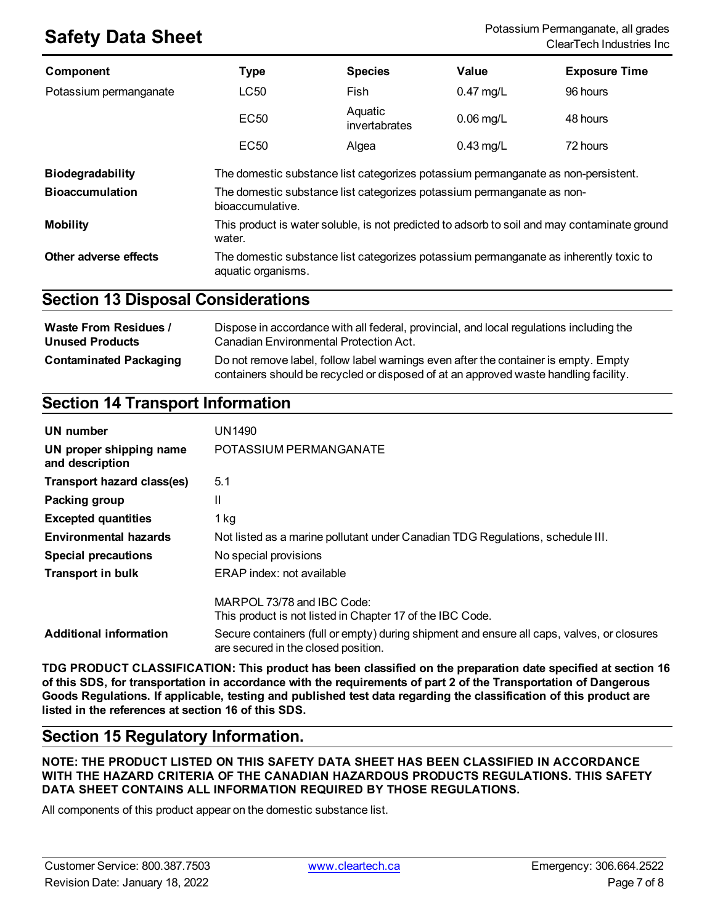| <b>Component</b>        | <b>Type</b>                                                                                            | <b>Species</b>                                                                        | Value       | <b>Exposure Time</b> |
|-------------------------|--------------------------------------------------------------------------------------------------------|---------------------------------------------------------------------------------------|-------------|----------------------|
| Potassium permanganate  | LC50                                                                                                   | Fish                                                                                  | $0.47$ mg/L | 96 hours             |
|                         | <b>EC50</b>                                                                                            | Aquatic<br>invertabrates                                                              | $0.06$ mg/L | 48 hours             |
|                         | EC <sub>50</sub>                                                                                       | Algea                                                                                 | $0.43$ mg/L | 72 hours             |
| <b>Biodegradability</b> | The domestic substance list categorizes potassium permanganate as non-persistent.                      |                                                                                       |             |                      |
| <b>Bioaccumulation</b>  | The domestic substance list categorizes potassium permanganate as non-<br>bioaccumulative.             |                                                                                       |             |                      |
| <b>Mobility</b>         | This product is water soluble, is not predicted to adsorb to soil and may contaminate ground<br>water. |                                                                                       |             |                      |
| Other adverse effects   | aquatic organisms.                                                                                     | The domestic substance list categorizes potassium permanganate as inherently toxic to |             |                      |

### **Section 13 Disposal Considerations**

| <b>Waste From Residues /</b>  | Dispose in accordance with all federal, provincial, and local regulations including the                                                                                     |
|-------------------------------|-----------------------------------------------------------------------------------------------------------------------------------------------------------------------------|
| <b>Unused Products</b>        | Canadian Environmental Protection Act.                                                                                                                                      |
| <b>Contaminated Packaging</b> | Do not remove label, follow label warnings even after the container is empty. Empty<br>containers should be recycled or disposed of at an approved waste handling facility. |

### **Section 14 Transport Information**

| UN number                                  | UN1490                                                                                                                            |
|--------------------------------------------|-----------------------------------------------------------------------------------------------------------------------------------|
| UN proper shipping name<br>and description | POTASSIUM PERMANGANATE                                                                                                            |
| Transport hazard class(es)                 | 5.1                                                                                                                               |
| Packing group                              | Ш                                                                                                                                 |
| <b>Excepted quantities</b>                 | $1$ kg                                                                                                                            |
| <b>Environmental hazards</b>               | Not listed as a marine pollutant under Canadian TDG Regulations, schedule III.                                                    |
| <b>Special precautions</b>                 | No special provisions                                                                                                             |
| <b>Transport in bulk</b>                   | ERAP index: not available                                                                                                         |
|                                            | MARPOL 73/78 and IBC Code:<br>This product is not listed in Chapter 17 of the IBC Code.                                           |
| <b>Additional information</b>              | Secure containers (full or empty) during shipment and ensure all caps, valves, or closures<br>are secured in the closed position. |

**TDG PRODUCT CLASSIFICATION: This product has been classified on the preparation date specified at section 16** of this SDS, for transportation in accordance with the requirements of part 2 of the Transportation of Dangerous Goods Regulations. If applicable, testing and published test data regarding the classification of this product are **listed in the references at section 16 of this SDS.**

### **Section 15 Regulatory Information.**

**NOTE: THE PRODUCT LISTED ON THIS SAFETY DATA SHEET HAS BEEN CLASSIFIED IN ACCORDANCE WITH THE HAZARD CRITERIA OF THE CANADIAN HAZARDOUS PRODUCTS REGULATIONS. THIS SAFETY DATA SHEET CONTAINS ALL INFORMATION REQUIRED BY THOSE REGULATIONS.**

All components of this product appear on the domestic substance list.